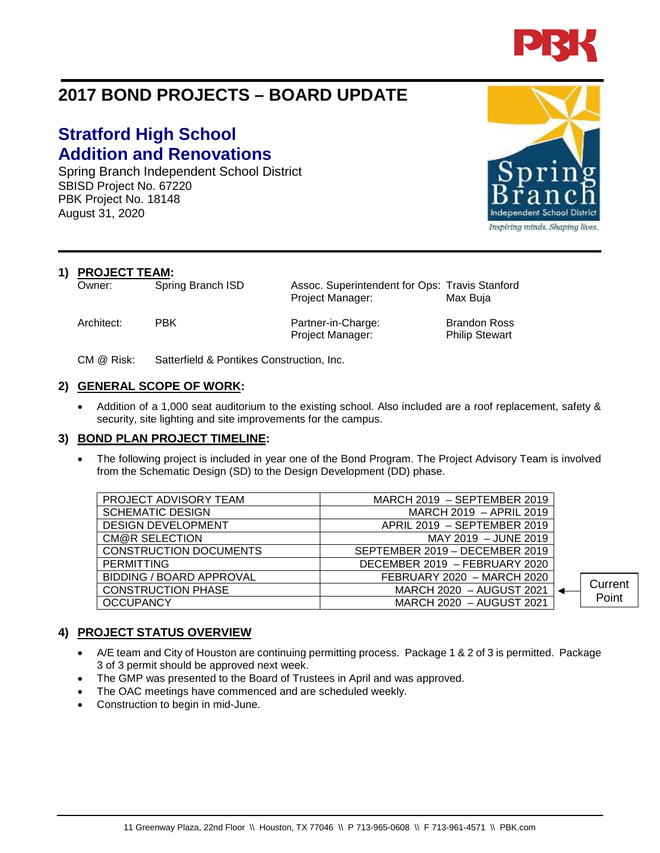

# **2017 BOND PROJECTS – BOARD UPDATE**

## **Stratford High School Addition and Renovations**

Spring Branch Independent School District SBISD Project No. 67220 PBK Project No. 18148 August 31, 2020

**1) PROJECT TEAM:**<br>Owner: Spring Branch ISD

Owner: Spring Branch ISD Assoc. Superintendent for Ops: Travis Stanford Project Manager: Max Buja

Architect: PBK Partner-in-Charge: Brandon Ross Project Manager: Philip Stewart

CM @ Risk: Satterfield & Pontikes Construction, Inc.

#### **2) GENERAL SCOPE OF WORK:**

• Addition of a 1,000 seat auditorium to the existing school. Also included are a roof replacement, safety & security, site lighting and site improvements for the campus.

#### **3) BOND PLAN PROJECT TIMELINE:**

• The following project is included in year one of the Bond Program. The Project Advisory Team is involved from the Schematic Design (SD) to the Design Development (DD) phase.

| PROJECT ADVISORY TEAM           | MARCH 2019 - SEPTEMBER 2019    |         |
|---------------------------------|--------------------------------|---------|
| <b>SCHEMATIC DESIGN</b>         | MARCH 2019 - APRIL 2019        |         |
| <b>DESIGN DEVELOPMENT</b>       | APRIL 2019 - SEPTEMBER 2019    |         |
| <b>CM@R SELECTION</b>           | MAY 2019 - JUNE 2019           |         |
| <b>CONSTRUCTION DOCUMENTS</b>   | SEPTEMBER 2019 - DECEMBER 2019 |         |
| <b>PERMITTING</b>               | DECEMBER 2019 - FEBRUARY 2020  |         |
| <b>BIDDING / BOARD APPROVAL</b> | FEBRUARY 2020 - MARCH 2020     |         |
| <b>CONSTRUCTION PHASE</b>       | MARCH 2020 - AUGUST 2021       | Current |
| <b>OCCUPANCY</b>                | MARCH 2020 - AUGUST 2021       | Point   |
|                                 |                                |         |

#### **4) PROJECT STATUS OVERVIEW**

- A/E team and City of Houston are continuing permitting process. Package 1 & 2 of 3 is permitted. Package 3 of 3 permit should be approved next week.
- The GMP was presented to the Board of Trustees in April and was approved.
- The OAC meetings have commenced and are scheduled weekly.
- Construction to begin in mid-June.



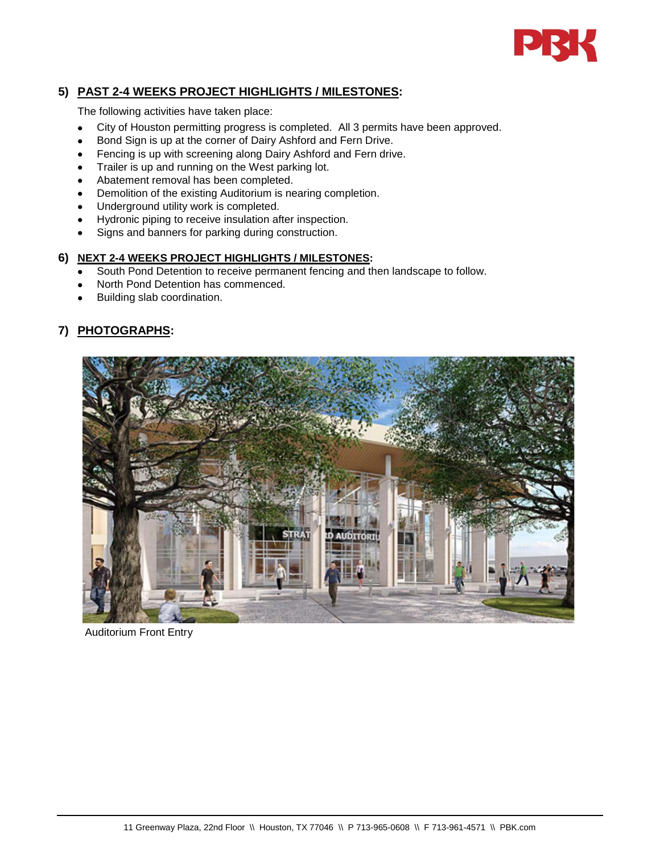

### **5) PAST 2-4 WEEKS PROJECT HIGHLIGHTS / MILESTONES:**

The following activities have taken place:

- City of Houston permitting progress is completed. All 3 permits have been approved.
- Bond Sign is up at the corner of Dairy Ashford and Fern Drive.
- Fencing is up with screening along Dairy Ashford and Fern drive.
- Trailer is up and running on the West parking lot.
- Abatement removal has been completed.
- Demolition of the existing Auditorium is nearing completion.
- Underground utility work is completed.
- Hydronic piping to receive insulation after inspection.
- Signs and banners for parking during construction.

#### **6) NEXT 2-4 WEEKS PROJECT HIGHLIGHTS / MILESTONES:**

- South Pond Detention to receive permanent fencing and then landscape to follow.
- North Pond Detention has commenced.
- Building slab coordination.

#### **7) PHOTOGRAPHS:**



Auditorium Front Entry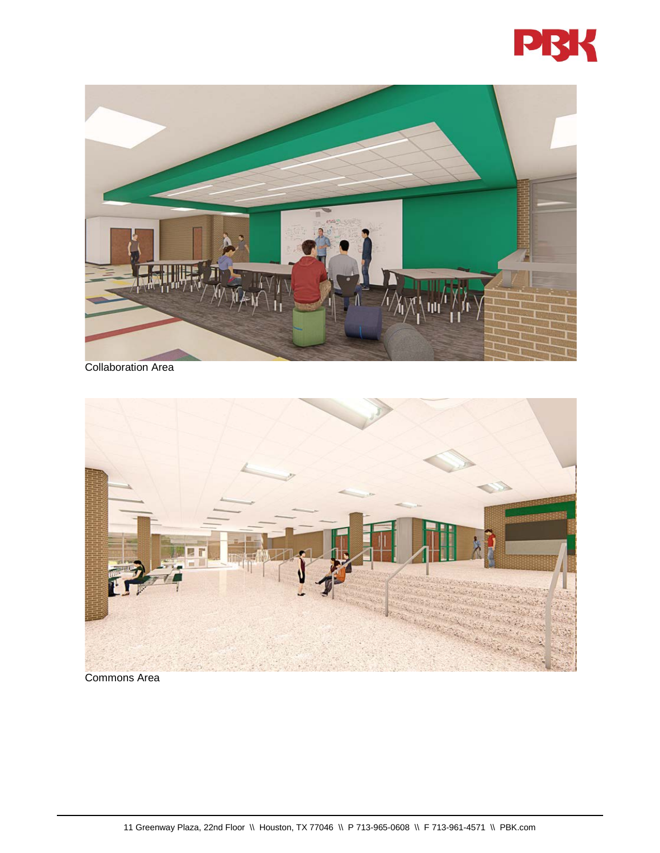



Collaboration Area



Commons Area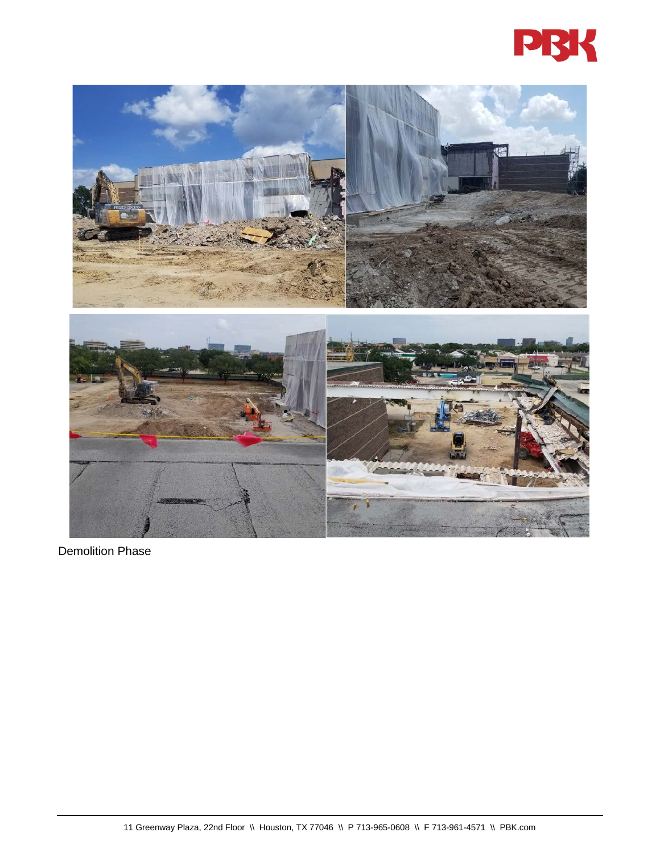



Demolition Phase